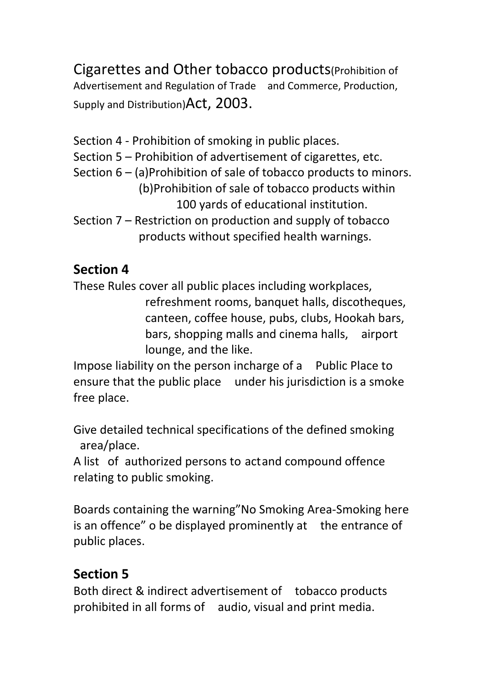Cigarettes and Other tobacco products(Prohibition of Advertisement and Regulation of Trade and Commerce, Production, Supply and Distribution)Act, 2003.

Section 4 - Prohibition of smoking in public places.

Section 5 – Prohibition of advertisement of cigarettes, etc.

- Section 6 (a)Prohibition of sale of tobacco products to minors. (b)Prohibition of sale of tobacco products within 100 yards of educational institution.
- Section 7 Restriction on production and supply of tobacco products without specified health warnings.

# **Section 4**

These Rules cover all public places including workplaces, refreshment rooms, banquet halls, discotheques, canteen, coffee house, pubs, clubs, Hookah bars, bars, shopping malls and cinema halls, airport lounge, and the like.

Impose liability on the person incharge of a Public Place to ensure that the public place under his jurisdiction is a smoke free place.

Give detailed technical specifications of the defined smoking area/place.

A list of authorized persons to actand compound offence relating to public smoking.

Boards containing the warning"No Smoking Area-Smoking here is an offence" o be displayed prominently at the entrance of public places.

# **Section 5**

Both direct & indirect advertisement of tobacco products prohibited in all forms of audio, visual and print media.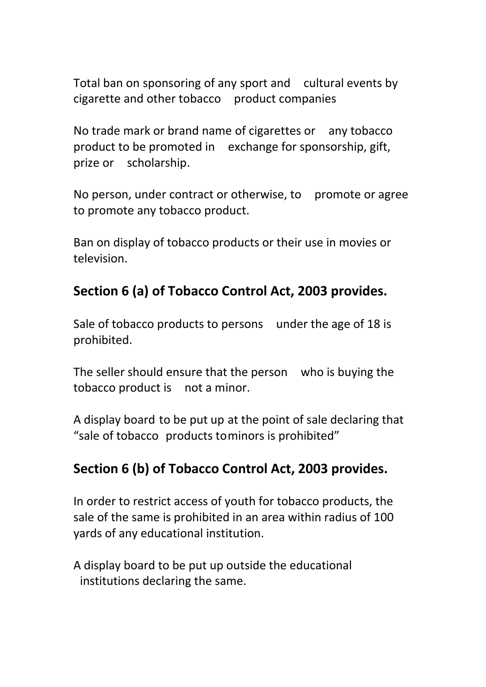Total ban on sponsoring of any sport and cultural events by cigarette and other tobacco product companies

No trade mark or brand name of cigarettes or any tobacco product to be promoted in exchange for sponsorship, gift, prize or scholarship.

No person, under contract or otherwise, to promote or agree to promote any tobacco product.

Ban on display of tobacco products or their use in movies or television.

### **Section 6 (a) of Tobacco Control Act, 2003 provides.**

Sale of tobacco products to persons under the age of 18 is prohibited.

The seller should ensure that the person who is buying the tobacco product is not a minor.

A display board to be put up at the point of sale declaring that "sale of tobacco products tominors is prohibited"

# **Section 6 (b) of Tobacco Control Act, 2003 provides.**

In order to restrict access of youth for tobacco products, the sale of the same is prohibited in an area within radius of 100 yards of any educational institution.

A display board to be put up outside the educational institutions declaring the same.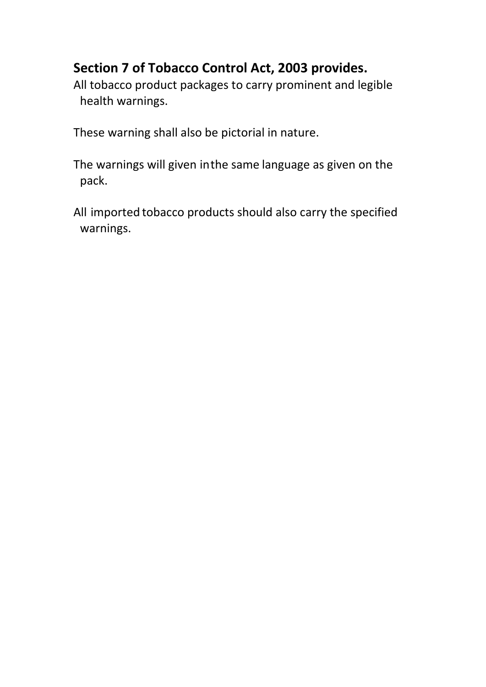### **Section 7 of Tobacco Control Act, 2003 provides.**

All tobacco product packages to carry prominent and legible health warnings.

These warning shall also be pictorial in nature.

The warnings will given inthe same language as given on the pack.

All imported tobacco products should also carry the specified warnings.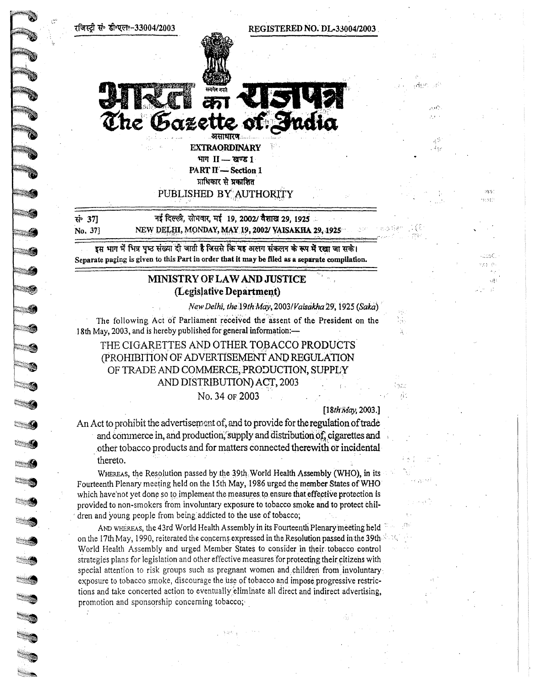रजिस्ट्री सं॰ डी॰एल॰-33004/2003

-24

 $\mathbb{Z}$  ,  $\mathbb{Z}$ 

ಷವ

ಾಕ

 $\sim$   $\frac{a}{2}$ 

- 9

 $\sim$   $\ell$ 

 $\sim$   $\frac{a}{2}$ 

- 9

 $\sim$   $\frac{2}{\sqrt{2}}$ 

- 3

 $\sim$  4

 $\sim$  4

 $\rightarrow$  4

 $\mathbb{Z}_{\geq 0}$ 

 $\blacksquare$ 

 $\sim$   $\sqrt{ }$ 

<u>el</u>

 $\rightarrow$ 

REGISTERED NO. DL-33004/2003

aaC

ans.

15937



USUAI The Gazette of Fudia **EXTRAORDINARY** 

भाग II - खण्ड 1 **PART II** - Section 1 प्राधिकार से प्रकाशित

### PUBLISHED BY AUTHORITY

नई दिल्ली, सोमवार, मई 19, 2002/ वैशाख 29, 1925. सं 371 NEW DELHI, MONDAY, MAY 19, 2002/ VAISAKHA 29, 1925 No. 37]

इस भाग में भिन्न पृष्ठ संख्या दी जाती है जिससे कि यह अलग संकलन के रूप में रखा जा सके। Separate paging is given to this Part in order that it may be filed as a separate compilation.

### MINISTRY OF LAW AND JUSTICE (Legislative Department)

New Delhi, the 19th May, 2003/Vaisakha 29, 1925 (Saka)

The following Act of Parliament received the assent of the President on the 18th May, 2003, and is hereby published for general information:-

### THE CIGARETTES AND OTHER TOBACCO PRODUCTS (PROHIBITION OF ADVERTISEMENT AND REGULATION OF TRADE AND COMMERCE, PRODUCTION, SUPPLY AND DISTRIBUTION) ACT, 2003

No. 34 or 2003

#### [18th May, 2003.]

W

An Act to prohibit the advertisement of, and to provide for the regulation of trade and commerce in, and production, supply and distribution of, cigarettes and other tobacco products and for matters connected therewith or incidental thereto.

WHEREAS, the Resolution passed by the 39th World Health Assembly (WHO), in its Fourteenth Plenary meeting held on the 15th May, 1986 urged the member States of WHO which have not yet done so to implement the measures to ensure that effective protection is provided to non-smokers from involuntary exposure to tobacco smoke and to protect children and young people from being addicted to the use of tobacco;

AND WHEREAS, the 43rd World Health Assembly in its Fourteenth Plenary meeting held on the 17th May, 1990, reiterated the concerns expressed in the Resolution passed in the 39th-World Health Assembly and urged Member States to consider in their tobacco control strategies plans for legislation and other effective measures for protecting their citizens with special attention to risk groups such as pregnant women and children from involuntary exposure to tobacco smoke, discourage the use of tobacco and impose progressive restrictions and take concerted action to eventually eliminate all direct and indirect advertising, promotion and sponsorship concerning tobacco;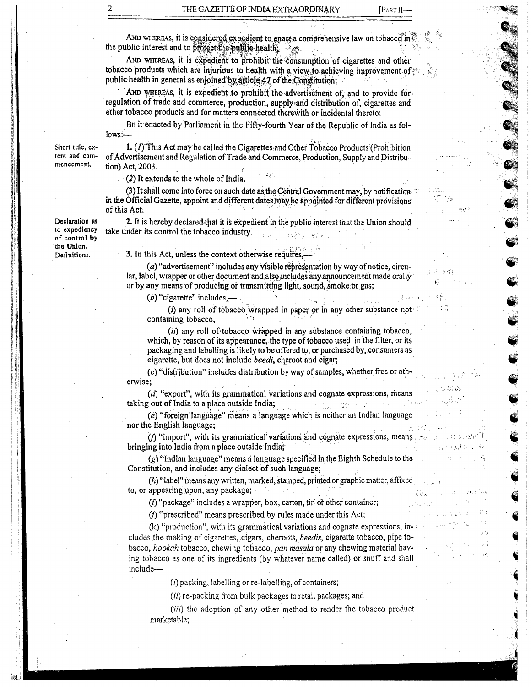sinukazione dalla

الإطلاق فكبير برواز والراوان

192 فراد

иĵ

AND WHEREAS, it is considered expedient to enact a comprehensive law on tobaccd in the public interest and to protect the public health,

AND WHEREAS, it is expedient to prohibit the consumption of cigarettes and other tobacco products which are injurious to health with a view to achieving improvement of public health in general as enjoined by atticle 47 of the Conglitution;

AND WHEREAS, it is expedient to prohibit the advertisement of, and to provide for regulation of trade and commerce, production, supply and distribution of, cigarettes and other tobacco products and for matters connected therewith or incidental thereto:

BE it enacted by Parliament in the Fifty-fourth Year of the Republic of India as follows:-

Short title, extent and commencement.

1. (1) This Act may be called the Cigarettes and Other Tobacco Products (Prohibition of Advertisement and Regulation of Trade and Commerce, Production, Supply and Distribution) Act, 2003.

(2) It extends to the whole of India.

(3) It shall come into force on such date as the Central Government may, by notification in the Official Gazette, appoint and different dates may be appointed for different provisions of this Act.

2. It is hereby declared that it is expedient in the public interest that the Union should take under its control the tobacco industry.

3. In this Act, unless the context otherwise requires

(a) "advertisement" includes any visible representation by way of notice, circular, label, wrapper or other document and also includes any announcement made orally or by any means of producing or transmitting light, sound, smoke or gas;

(b) "cigarette" includes,—.

(i) any roll of tobacco wrapped in paper or in any other substance not containing tobacco,

(ii) any roll of tobacco wrapped in any substance containing tobacco, which, by reason of its appearance, the type of tobacco used in the filter, or its packaging and labelling is likely to be offered to, or purchased by, consumers as cigarette, but does not include *beedi*, cheroot and cigar;

(c) "distribution" includes distribution by way of samples, whether free or otherwise:

(d) "export", with its grammatical variations and cognate expressions, means taking out of India to a place outside India; and the contract of the contract of the series of the contract of

(e) "foreign language" means a language which is neither an Indian language nor the English language; ប្រវត្តិ នេះជុំ ប្រកបដាក

(f) "import", with its grammatical variations and cognate expressions, means, we are allowed in the control. bringing into India from a place outside India;

(g) "Indian language" means a language specified in the Eighth Schedule to the Constitution, and includes any dialect of such language;

(h) "label" means any written, marked, stamped, printed or graphic matter, affixed to, or appearing upon, any package, 1993 - Parish

 $(i)$  "package" includes a wrapper, box, carton, tin or other container;

 $(j)$  "prescribed" means prescribed by rules made under this Act;

(k) "production", with its grammatical variations and cognate expressions, in-the contraction of the state cludes the making of cigarettes, cigars, cheroots, beedis, cigarette tobacco, pipe tobacco, hookah tobacco, chewing tobacco, pan masala or any chewing material having tobacco as one of its ingredients (by whatever name called) or snuff and shall include-

(i) packing, labelling or re-labelling, of containers;

(ii) re-packing from bulk packages to retail packages; and

*(iii)* the adoption of any other method to render the tobacco product marketable;

Declaration as to expediency of control by the Union. Definitions.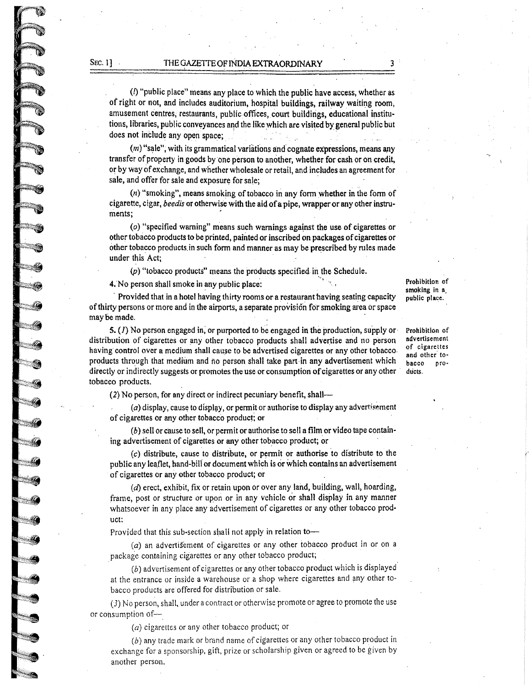#### SEC. 1] THE GAZETTE OF INDIA EXTRAORDINARY

 $(1)$  "public place" means any place to which the public have access, whether as of right or not, and includes auditorium, hospital buildings, railway waiting room, amusement centres; restaurants, public offices, court buildings, educational institutions, libraries, public conveyances and the like which are visited by general public but does not include any open space;

 $(m)$  "sale", with its grammatical variations and cognate expressions, means any transfer of property in goods by one person to another, whether for cash or on credit, or by way of exchange, and whether wholesale or retail, and includes an agreement for sale, and offer for sale and exposure for sale;

 $(n)$  "smoking", means smoking of tobacco in any form whether in the form of cigarette, cigar, *beedis* or otherwise with the aid of a pipe, wrapper or any other instruments;

 $(o)$  "specified warning" means such warnings against the use of cigarettes or other tobacco products to be printed, painted or inscribed on packages of cigarettes or other tobacco products in such form and manner as may be prescribed by rules made under this Act;

 $(p)$  "tobacco products" means the products specified in the Schedule.

4. No person shall smoke in any public place:

Provided that in a hotel having thirty rooms or a restaurant having seating capacity of thirty persons or more and in the airports, a separate provision for smoking area or space may be made.

*5.* (J) No person engaged in; or purported to be engaged in the production, supply or distribution of cigarettes or any other tobacco products shall advertise and no person having control over a medium shall cause to be advertised cigarettes or any other tobaccoproducts through that medium and no person shall take part·in any advertisement which directly or indirectly suggests or promotes the use or consumption of cigarettes or any other tobacco products.

(2) No person, for any direct or indirect pecuniary benefit, shall-

 $(a)$  display, cause to display, or permit or authorise to display any advertisement of cigarettes or any other tobacco product; or

 $(b)$  sell or cause to sell, or permit or authorise to sell a film or video tape containing advertisement of cigarettes or any other tobacco product; or

 $(c)$  distribute, cause to distribute, or permit or authorise to distribute to the public any leaflet, hand-bill or document which is or which contains an advertisement of cigarettes or any other tobacco product; or

(d) erect, exhibit, fix or retain upon or over any land, building, wall, hoarding, frame, post or structure or upon or in any vehicle or shall display in any manner whatsoever in any place any advertisement of cigarettes or any other tobacco prod· uct:

Provided that this sub-section shall not apply in relation to-

(a) an advertisement of cigarettes or any other tobacco product in or on a package containing cigarettes or any other tobacco product;

. (b) advertisement of cigarettes or any other tobacco product which is displayed. at the entrance or inside a warehouse or a shop where cigarettes and any other to· bacco products are offered for distribution or sale.

(J) No person, shall, under a contract or otherwise promote or agree to promote the use or consumption of-

(a) cigarettes or any other tobacco product; or

(b) any trade mark or brand name of cigarettes or any other tobacco product in exchange for a sponsorship, gift, prize or scholarship given or agreed to be given by another person.

Prohibition of smoking in a, public place.

Prohibition of advertisement of cigarettes and other tobacco pro· ducts.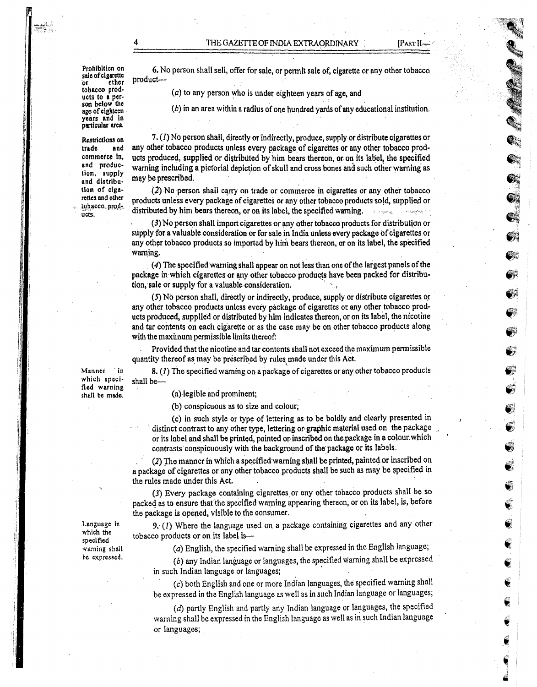.,

 $\bullet$   $\bullet$ 

•<br>•<br>•

**9** 

 $\bullet$   $\bullet$ 

 $\bullet$   $\bullet$ 

 $^{\bullet}$ 

 $\bullet$  .

 $\bullet$ 

 $\bullet$  .  $\bullet$ 

*It!*   $\mathcal{G}$ 

 $\bullet$  .

 $\bullet$ 

 $\bullet$  .  $\bullet$ 

 $\bullet$ 

 $\blacktriangledown$ 

i

f

i

~

**S** ~

**S** il - 1

Prohibition on<br>sale of cigarette<br>or 11ther tobacco products to a person below the<br>age of eighteen years and in particular area

rad.

Restrictions on<br>trade and trade commerce in, and production, supply and distribution of cigarettes and other .tobacco.products.

6. No person shall sell, offer for sale, or permit sale of, cigarette or any other tobacco product-

 $(a)$  to any person who is under eighteen years of age, and

 $(b)$  in an area within a radius of one hundred yards of any educational institution.

7. (1) No person shall, directly or indirectly, produce, supply or distribute cigarettes or any other tobacco products unless every package of cigarettes or any other tobacco products produced, supplied or distributed by him bears thereon, or on its label, the specified warning including a pictorial depiction of skull and cross bones and such other warning as may be prescribed.

 $(2)$  No person shall carry on trade or commerce in cigarettes or any other tobacco products unless every package of cigarettes or any other tobacco products sold, supplied or distributed by him bears thereon, or on its label, the specified warning.  $\mathcal{L}_{\text{power}} = \mathcal{L}_{\text{target}}$ 

(3) No person shall import cigarettes or any other tobacco products for distribution or supply for a valuable consideration or for sale in India unless every package of cigarettes or any other tobacco products so imported by him bears thereon, or on its label, the specified warning.

. (4) The specified·warning shall appear on not tess than one of the largest panels of the package in which cigarettes or any other tobacco products have been packed for distribution, sale or supply for a valuable consideration.

(5) No person shall, directly or indirectly, produce, supply or distribute cigarettes o.r any other tobacco products unless eveiy package of cigarettes or any other tobacco prod· ucts produced, supplied or distributed by him indicates thereon, or on its label, the nicotine and tar contents on each cigarette or as the case may be on other tobacco products along with the maximum permissible limits thereof:

Provided that the nicotine and tar contents shall not exceed the maximum permissible quantity thereof as may be prescribed by rules made under this Act.

Manner ·in which specified warning shall be made.

8. {1) The specified warning on a package of cigarettes or any other tobacco products shall be-

(a) legible and prominent;

(b) conspicuous as to size and colour;

(c) in such style or type of lettering as to be boldly and clearly presented in distinct contrast to any other type, lettering or graphic material used on the package or its label and shall be printed, painted or, inscribed on the package in a colour. which contrasts conspicuously with the background of the package or its labels.

(2) The manner in which a specified warning shall be printed, painted or inscribed on a package of cigarettes or any other tobacco products shall be such as may be specified in the rules made under this Act.

(3) Every package containing cigarettes. or any other tobacco products shall be so packed as to ensure that the specified warning appearing thereon, or on its label, is, before the package is opened, visible to the consumer.

9. (1) Where the language used on a package containing cigarettes and any other tobacco products or on its label is-

(4) English, the specified warning shall be expressed in the English language;

(b) any Indian language or languages, the specified warning shall be expressed in such Indian language or languages;

(c) both English and one or more Indian languages, the specified warning shall be expressed in the English language as well as in such Indian language or languages;

(d) partly English and partly any Indian language or languages, the specified warning shall be expressed in the English language as well as in such Indian language or languages;

Language in which the specified warning shall be expressed.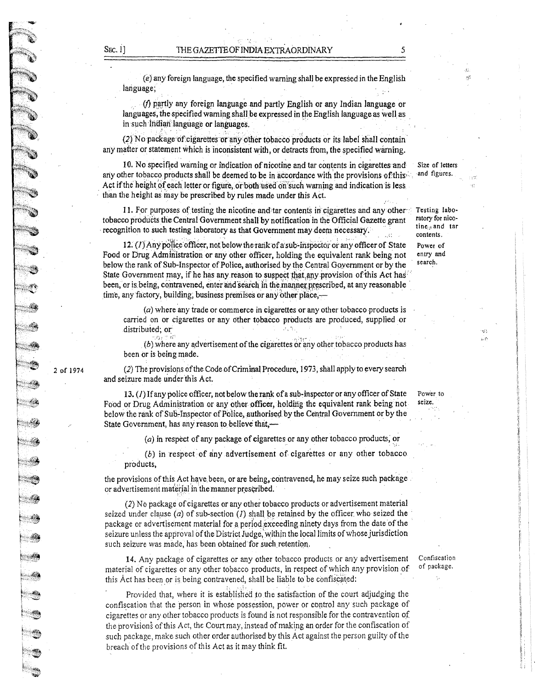2 of 1974

- 4

- 4

- C

- 1

 $(e)$  any foreign language, the specified warning shall be expressed in the English language;

(f) partly any foreign language and partly English or any Indian language or languages, the specified warning shall be expressed in the English language as well as in such Indian language or languages.

(2) No package of cigarettes or any other tobacco products or its label shall contain any matter or statement which is inconsistent with, or detracts from, the specified warning.

10. No specified warning or indication of nicotine and tar contents in cigarettes and any other tobacco products shall be deemed to be in accordance with the provisions of this Act if the height of each letter or figure, or both used on such warning and indication is less. than the height as may be prescribed by rules made under this Act.

11. For purposes of testing the nicotine and tar contents in cigarettes and any other tobacco products the Central Government shall by notification in the Official Gazette grant recognition to such testing laboratory as that Government may deem necessary.

12. (1) Any police officer, not below the rank of a sub-inspector or any officer of State Food or Drug Administration or any other officer, holding the equivalent rank being not below the rank of Sub-Inspector of Police, authorised by the Central Government or by the State Government may, if he has any reason to suspect that any provision of this Act has been, or is being, contravened, enter and search in the manner prescribed, at any reasonable time, any factory, building, business premises or any other place,—

(a) where any trade or commerce in cigarettes or any other tobacco products is carried on or cigarettes or any other tobacco products are produced, supplied or distributed; or

(b) where any advertisement of the cigarettes or any other tobacco products has been or is being made.

(2) The provisions of the Code of Criminal Procedure, 1973, shall apply to every search and seizure made under this Act.

13. (1) If any police officer, not below the rank of a sub-inspector or any officer of State Food or Drug Administration or any other officer, holding the equivalent rank being not below the rank of Sub-Inspector of Police, authorised by the Central Government or by the State Government, has any reason to believe that,-

(a) in respect of any package of cigarettes or any other tobacco products, or

(b) in respect of any advertisement of cigarettes or any other tobacco. products,

the provisions of this Act have been, or are being, contravened, he may seize such package or advertisement material in the manner prescribed.

(2) No package of cigarettes or any other tobacco products or advertisement material seized under clause (a) of sub-section (1) shall be retained by the officer who seized the package or advertisement material for a period exceeding ninety days from the date of the seizure unless the approval of the District Judge, within the local limits of whose jurisdiction such seizure was made, has been obtained for such retention.

14. Any package of cigarettes or any other tobacco products or any advertisement material of cigarettes or any other tobacco products, in respect of which any provision of this Act has been or is being contravened, shall be liable to be confiscated:

Provided that, where it is established to the satisfaction of the court adjudging the confiscation that the person in whose possession, power or control any such package of cigarettes or any other tobacco products is found is not responsible for the contravention of the provisions of this Act, the Court may, instead of making an order for the confiscation of such package, make such other order authorised by this Act against the person guilty of the breach of the provisions of this Act as it may think fit.

and figures.

Size of letters

ď

Testing laboratory for nicotine<sub>3</sub> and tar contents.

Power of entry and search.

Power to seize.

65 μń

Confiscation of package.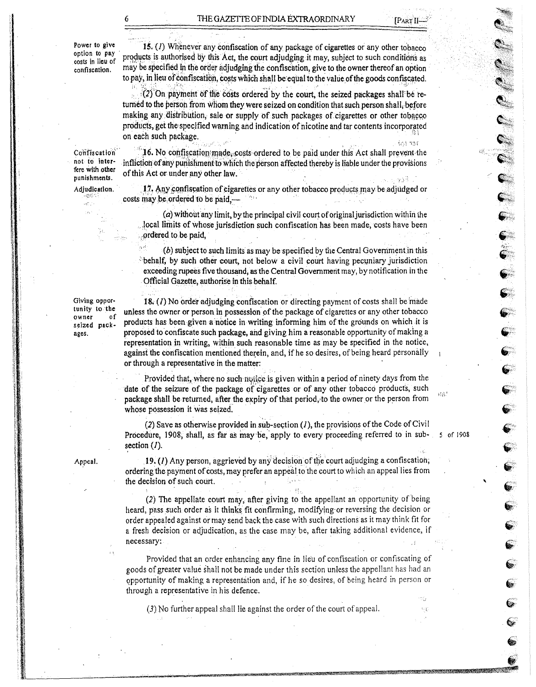Power to give option to pay costs in lieu of confiscation.

15. (1) Whenever any confiscation of any package of cigarettes or any other tobacco products is authorised by this Act, the court adjudging it may, subject to such conditions as may be specified in the order adjudging the confiscation, give to the owner thereof an option to pay, in lieu of confiscation, costs which shall be equal to the value of the goods confiscated.

(2) On payment of the costs ordered by the court, the seized packages shall be returned to the person from whom they were seized on condition that such person shall, before making any distribution, sale or supply of such packages of cigarettes or other tobacco products, get the specified warning and indication of nicotine and tar contents incorporated on each such package.

Confiscation not to interfere with other punishments.

Adjudication. - 1960  $\sigma_{\rm tot}^{\rm eff}$  ) :

16. No confiscation made, costs ordered to be paid under this Act shall prevent the infliction of any punishment to which the person affected thereby is liable under the provisions of this Act or under any other law.

17. Any confiscation of cigarettes or any other tobacco products may be adjudged or costs may be ordered to be paid,—

(a) without any limit, by the principal civil court of original jurisdiction within the local limits of whose jurisdiction such confiscation has been made, costs have been ordered to be paid,

أمن  $(b)$  subject to such limits as may be specified by the Central Government in this behalf, by such other court, not below a civil court having pecuniary jurisdiction exceeding rupees five thousand, as the Central Government may, by notification in the Official Gazette, authorise in this behalf.

#### Giving opportunity to the owner of seized packages.

18. (1) No order adjudging confiscation or directing payment of costs shall be made unless the owner or person in possession of the package of cigarettes or any other tobacco products has been given a notice in writing informing him of the grounds on which it is proposed to confiscate such package, and giving him a reasonable opportunity of making a representation in writing, within such reasonable time as may be specified in the notice, against the confiscation mentioned therein, and, if he so desires, of being heard personally or through a representative in the matter:

Provided that, where no such notice is given within a period of ninety days from the date of the seizure of the package of cigarettes or of any other tobacco products, such package shall be returned, after the expiry of that period, to the owner or the person from whose possession it was seized.

(2) Save as otherwise provided in sub-section  $(I)$ , the provisions of the Code of Civil Procedure, 1908, shall, as far as may be, apply to every proceeding referred to in sub-5 of 1908 section  $(I)$ .

Appeal.

19. $(I)$  Any person, aggrieved by any decision of the court adjudging a confiscation, ordering the payment of costs, may prefer an appeal to the court to which an appeal lies from the decision of such court.

(2) The appellate court may, after giving to the appellant an opportunity of being heard, pass such order as it thinks fit confirming, modifying or reversing the decision or order appealed against or may send back the case with such directions as it may think fit for a fresh decision or adjudication, as the case may be, after taking additional evidence, if necessary:

Provided that an order enhancing any fine in lieu of confiscation or confiscating of goods of greater value shall not be made under this section unless the appellant has had an opportunity of making a representation and, if he so desires, of being heard in person or through a representative in his defence.

(3) No further appeal shall lie against the order of the court of appeal.

[PART II

 $\epsilon$ 

 $\epsilon$ 

សេ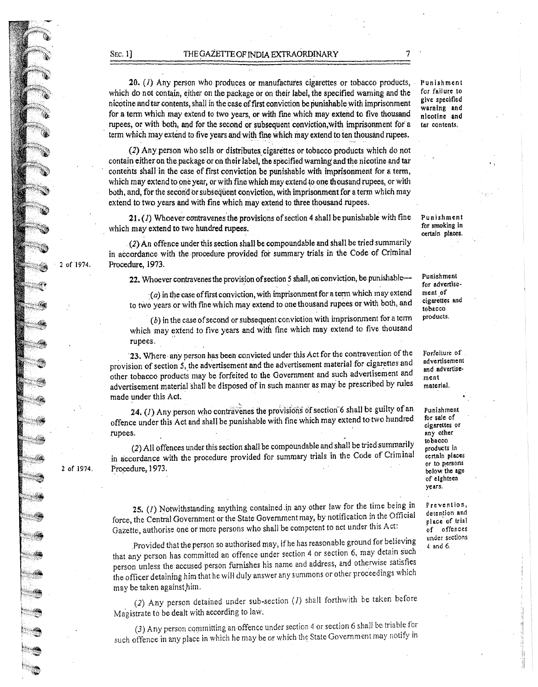20. (1) Any person who produces or manufactures cigarettes or tobacco products, which do not contain, either on the package or on their label, the specified warning and the nicotine and tar contents, shall in the case of first conviction be punishable with imprisonment for a tenn which may extend to two years, or with fme which may extend to five thousand rupees, or with both, and for the second or subsequent conviction, with imprisonment for a term which may extend to five years and with fine which may extend to ten thousand rupees.

(2) Any person who sells or distributes cigarettes or tobacco products which do not contain either on the package or on their label, the specified warning and the nicotine and tar contents shall in the case of first conviction be punishable with imprisonment for a term, which may extend to one year, or with fine which may extend to one thousand rupees, or with both, and, for the second or subsequent conviction, with imprisonment for a term which may extend to two years and with fine which may extend to three thousand rupees.

 $21.(1)$  Whoever contravenes the provisions of section 4 shall be punishable with fine which may extend to two hundred rupees.

(2) An offence under this section shall be compoundable and shall be tried summarily in accordance with the procedure provided for summary trials in the Code of Criminal Procedure, 1973.

22. Whoever contravenes the provision of section 5 shall, on conviction, be punishable-

 $\cdot$  (a) in the case of first conviction, with imprisonment for a term which may extend to two years or with fine which may extend to one thousand rupees or with both, and

*(b)* in the case of second or subsequent conviction with imprisonment for a tenn which may extend to five years and with fine which may extend to five thousand rupees.

23. Where any person has been convicted under this Act for the contravention of the provision of section 5, the advertisement and the advertisement material for cigarettes and other tobacco products may be forfeited to the Government and such advertisement and advertisement material shall be disposed of in such manner as may be prescribed by rules made under this Act.

24. (1) Any person who contravenes the provisions of section 6 shall be guilty of an offence under this Act and shall be punishable with fine which may extend to two hundred rupees.

(2) All offences under this section shall be compoundable and shall be tried summarily in accordance with the procedure provided for summary trials in the Code of Criminal Procedure, 1973.

25. (1) Notwithstanding anything contained in any other law for the time being in force, the Central Government or the State Government may, by notification in the Ofticial Gazette, authorise one or more persons who shall be competent to act under this Act:

.Provided that the person so authorised may, if he has reasonable ground for believing that any person has committed an offence under section 4 or section 6, may detain such person unless the accused person furnishes his name and address, and othenvise satisfies the officer detaining him that he will duly answer any summons or other proceedings which may be taken against.him.

(2) Any person detained under sub-section  $(I)$  shall forthwith be taken before Magistrate to be dealt with according to law.

 $(3)$  Any person committing an offence under section 4 or section 6 shall be triable for such offence in any place in which he may be or which the State Government may notify in

2 of 1974.

F'f'':'c~~

h'·'·~

Punishment for smoking in certain places.

Punishment for advertise· ment of cigarettes and tobacco products.

Punishment for failure to give specified warning and nicotine and tar contents.

Forfeiture of advertisement

and advertise· ment material.

Punishment for sale of cigarettes or any other tobacco products in certain places or to persons below the age of eighteen years.

Prevention, detention and pi ace. of trial of offences under sections 4 and 6.

2 of 1974.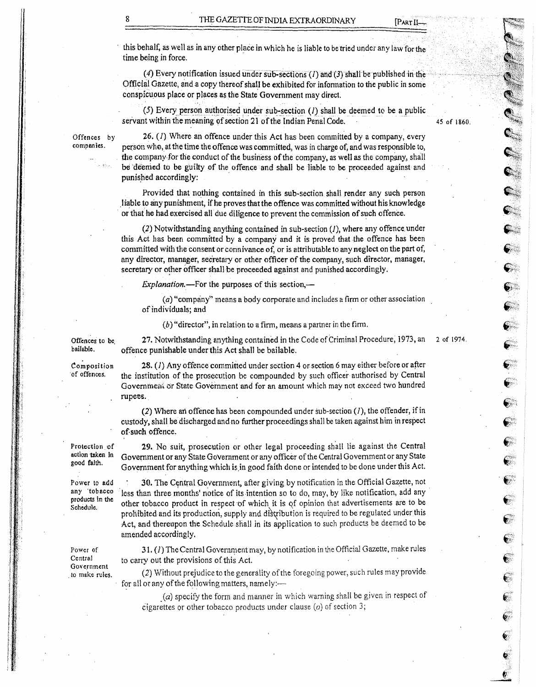this behalf, as well as in any other place in which he is liable to be tried under any law for the time being in force.

(4) Every notification issued under sub-sections ( $I$ ) and (3) shall be published in the Official Gazette, and a copy thereof shall be exhibited for information to the public in some conspicuous place or places as the State Government may direct.

(5) Every person authorised under sub-section (1) shall be deemed to be a public servant within the meaning of section 21 of the Indian Penal Code. 45 of 1860.

'.>'  $~\cdot$ 

 $\bullet$ .

i);;~S

*{:.!.:;,* 

 $\bullet$ .

 $f(x)$ 

 $f(x) = f(x)$ 

 $\bullet$  .

~~-·~ ~~::

 $\epsilon$ 

~;·:

 $\epsilon$ 

~2:  $\sim$ 

> $\bullet$  $\epsilon$

 $\bullet$  $\mathcal{L}^*$  $\mathcal{L}_{\mathcal{L}}$ 

f

 $rac{c}{c}$ 

Offences by companies.

26. (1) Where an offence under this Act has been committed by a company, every person who, at the time the offence was committed, was in charge of, and was responsible to, the company for the conduct of the business of the company, as well as the company, shall be deenied to be guilty of the offence and shall be liable to be proceeded against and punished accordingly:

Provided that nothing contained in this sub-section shall render any such person \_liable to any punishment, if he proves that the offence was committed without his knowledge . or' that he had exercised all' due diligence to prevent the commission of such offence.

(2) Notwithstanding anything contained in sub-section  $(1)$ , where any offence under this Act has been committed by a company and it is proved that the offence has been committed with the consent or connivance of, or is attributable to any neglect on the part of, any director, manager, secretary or other officer of the company, such director, manager, secretary or other officer shall be proceeded against and punished accordingly.

*Explanation.*—For the purposes of this section,—

(a) "company" means a body corporate and includes a firm or other association of individuals; and

 $(b)$  "director", in relation to a firm, means a partner in the firm.

Offences to be. 27. Notwithstanding anything contained in the Code of Criminal Procedure, 1973, an 2 of 1974.<br>bailable. offence punishable under this Act shall be bailable. offence punishable under this Act shall be bailable.

Composition

28. (1) Any offence committed under section 4 or section 6 may either before or after the institution of the prosecution be compounded by such officer authorised by Central Government or State Government and for an amount which may not exceed two hundred rupees.

(2) Where an offence has been compounded under sub-section  $(i)$ , the offender, if in custody, shall.be discharged and no further proceedings shall be taken against him in respect of.such offence.

19. No suit, prosecution or other legal proceeding shalt lie against the Central Government or any State Government or any officer of the Central Government or any State Government for anything which is.in good faith done or intended to be done under this Act.

30. The Cyntral Government, after giving by notification in the Official Gazette, not less than three months' notice of its intention so to do, may, by like notification, add any other tobacco product in respect of which it is qf opinion that advertisements are to be prohibited and its production, supply and distribution is required to be regulated under this Act, and thereupon the Schedule shall in its application to such products be deemed to be amended accordingly.

31. (1) The Central Government may, by notification in the Official Gazette, make rules to carry out the provisions of this Act.

(2) Without prejudice to the generality of the foregoing power, such rules may provide for all or any of the following matters, namely:-

 $(a)$  specify the form and manner in which warning shall be given in respect of cigarettes or other tobacco products under clause  $(o)$  of section 3;

I

of offences.

Protection. of action taken in good faith.

Power to add any tobacco products in the Schedule.

Power of Central Government to make rules.